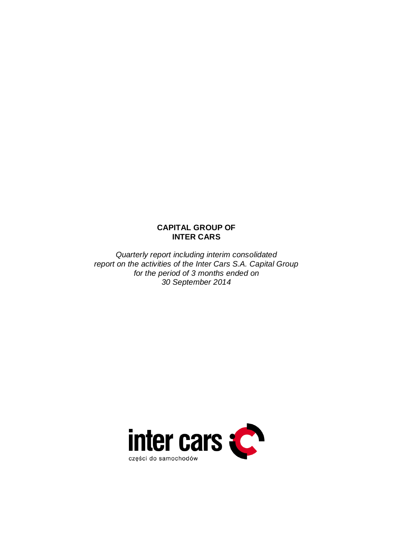# **CAPITAL GROUP OF INTER CARS**

*Quarterly report including interim consolidated report on the activities of the Inter Cars S.A. Capital Group for the period of 3 months ended on 30 September 2014*

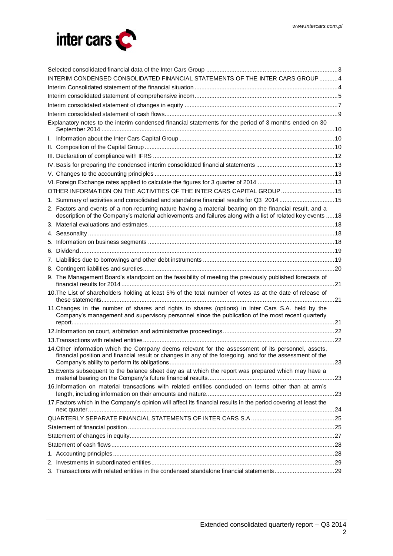

| INTERIM CONDENSED CONSOLIDATED FINANCIAL STATEMENTS OF THE INTER CARS GROUP 4                                                                                                                                           |  |
|-------------------------------------------------------------------------------------------------------------------------------------------------------------------------------------------------------------------------|--|
|                                                                                                                                                                                                                         |  |
|                                                                                                                                                                                                                         |  |
|                                                                                                                                                                                                                         |  |
|                                                                                                                                                                                                                         |  |
| Explanatory notes to the interim condensed financial statements for the period of 3 months ended on 30                                                                                                                  |  |
|                                                                                                                                                                                                                         |  |
|                                                                                                                                                                                                                         |  |
|                                                                                                                                                                                                                         |  |
|                                                                                                                                                                                                                         |  |
|                                                                                                                                                                                                                         |  |
|                                                                                                                                                                                                                         |  |
| OTHER INFORMATION ON THE ACTIVITIES OF THE INTER CARS CAPITAL GROUP  15                                                                                                                                                 |  |
| 1. Summary of activities and consolidated and standalone financial results for Q3 2014 15                                                                                                                               |  |
| 2. Factors and events of a non-recurring nature having a material bearing on the financial result, and a<br>description of the Company's material achievements and failures along with a list of related key events  18 |  |
|                                                                                                                                                                                                                         |  |
|                                                                                                                                                                                                                         |  |
|                                                                                                                                                                                                                         |  |
|                                                                                                                                                                                                                         |  |
|                                                                                                                                                                                                                         |  |
|                                                                                                                                                                                                                         |  |
| 9. The Management Board's standpoint on the feasibility of meeting the previously published forecasts of                                                                                                                |  |
| 10. The List of shareholders holding at least 5% of the total number of votes as at the date of release of                                                                                                              |  |
| 11. Changes in the number of shares and rights to shares (options) in Inter Cars S.A. held by the<br>Company's management and supervisory personnel since the publication of the most recent quarterly                  |  |
|                                                                                                                                                                                                                         |  |
|                                                                                                                                                                                                                         |  |
| 14. Other information which the Company deems relevant for the assessment of its personnel, assets,<br>financial position and financial result or changes in any of the foregoing, and for the assessment of the        |  |
| 15. Events subsequent to the balance sheet day as at which the report was prepared which may have a                                                                                                                     |  |
|                                                                                                                                                                                                                         |  |
| 16.Information on material transactions with related entities concluded on terms other than at arm's                                                                                                                    |  |
| 17. Factors which in the Company's opinion will affect its financial results in the period covering at least the                                                                                                        |  |
|                                                                                                                                                                                                                         |  |
|                                                                                                                                                                                                                         |  |
|                                                                                                                                                                                                                         |  |
|                                                                                                                                                                                                                         |  |
|                                                                                                                                                                                                                         |  |
|                                                                                                                                                                                                                         |  |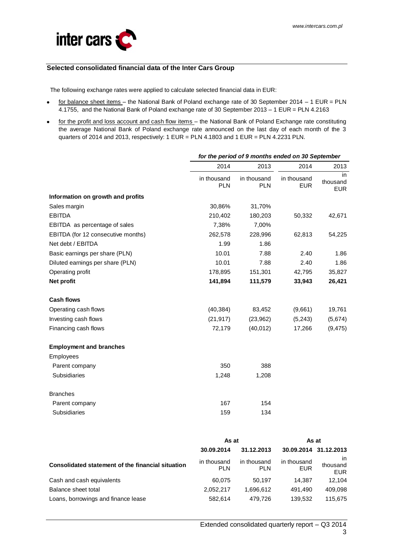#### <span id="page-2-0"></span>**Selected consolidated financial data of the Inter Cars Group**

The following exchange rates were applied to calculate selected financial data in EUR:

- for balance sheet items the National Bank of Poland exchange rate of 30 September 2014 1 EUR = PLN 4.1755, and the National Bank of Poland exchange rate of 30 September 2013 – 1 EUR = PLN 4.2163
- for the profit and loss account and cash flow items the National Bank of Poland Exchange rate constituting the average National Bank of Poland exchange rate announced on the last day of each month of the 3 quarters of 2014 and 2013, respectively: 1 EUR = PLN 4.1803 and 1 EUR = PLN 4.2231 PLN.

|                                    | for the period of 9 months ended on 30 September |                           |                           |                              |  |  |
|------------------------------------|--------------------------------------------------|---------------------------|---------------------------|------------------------------|--|--|
|                                    | 2014                                             | 2013                      | 2014                      | 2013                         |  |  |
|                                    | in thousand<br><b>PLN</b>                        | in thousand<br><b>PLN</b> | in thousand<br><b>EUR</b> | in<br>thousand<br><b>EUR</b> |  |  |
| Information on growth and profits  |                                                  |                           |                           |                              |  |  |
| Sales margin                       | 30,86%                                           | 31,70%                    |                           |                              |  |  |
| <b>EBITDA</b>                      | 210,402                                          | 180,203                   | 50,332                    | 42,671                       |  |  |
| EBITDA as percentage of sales      | 7,38%                                            | 7,00%                     |                           |                              |  |  |
| EBITDA (for 12 consecutive months) | 262,578                                          | 228,996                   | 62,813                    | 54,225                       |  |  |
| Net debt / EBITDA                  | 1.99                                             | 1.86                      |                           |                              |  |  |
| Basic earnings per share (PLN)     | 10.01                                            | 7.88                      | 2.40                      | 1.86                         |  |  |
| Diluted earnings per share (PLN)   | 10.01                                            | 7.88                      | 2.40                      | 1.86                         |  |  |
| Operating profit                   | 178,895                                          | 151,301                   | 42,795                    | 35,827                       |  |  |
| Net profit                         | 141,894                                          | 111,579                   | 33,943                    | 26,421                       |  |  |
| <b>Cash flows</b>                  |                                                  |                           |                           |                              |  |  |
| Operating cash flows               | (40, 384)                                        | 83,452                    | (9,661)                   | 19,761                       |  |  |
| Investing cash flows               | (21, 917)                                        | (23, 962)                 | (5, 243)                  | (5,674)                      |  |  |
| Financing cash flows               | 72,179                                           | (40, 012)                 | 17,266                    | (9, 475)                     |  |  |
| <b>Employment and branches</b>     |                                                  |                           |                           |                              |  |  |
| Employees                          |                                                  |                           |                           |                              |  |  |
| Parent company                     | 350                                              | 388                       |                           |                              |  |  |
| Subsidiaries                       | 1,248                                            | 1,208                     |                           |                              |  |  |
| <b>Branches</b>                    |                                                  |                           |                           |                              |  |  |
| Parent company                     | 167                                              | 154                       |                           |                              |  |  |
| Subsidiaries                       | 159                                              | 134                       |                           |                              |  |  |

|                                                   | As at                     |                           | As at              |                               |
|---------------------------------------------------|---------------------------|---------------------------|--------------------|-------------------------------|
|                                                   | 30.09.2014                | 31.12.2013                | 30,09,2014         | 31.12.2013                    |
| Consolidated statement of the financial situation | in thousand<br><b>PLN</b> | in thousand<br><b>PLN</b> | in thousand<br>EUR | in.<br>thousand<br><b>EUR</b> |
| Cash and cash equivalents                         | 60.075                    | 50.197                    | 14.387             | 12,104                        |
| Balance sheet total                               | 2.052.217                 | 1,696,612                 | 491.490            | 409.098                       |
| Loans, borrowings and finance lease               | 582.614                   | 479.726                   | 139,532            | 115,675                       |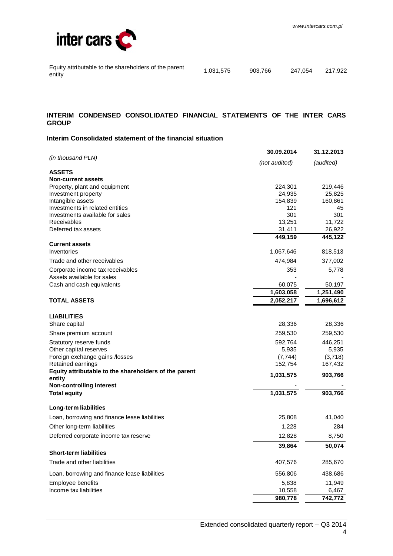

Equity attributable to the shareholders of the parent 1,031,575 903,766 247,054 217,922<br>entity

## <span id="page-3-0"></span>**INTERIM CONDENSED CONSOLIDATED FINANCIAL STATEMENTS OF THE INTER CARS GROUP**

### <span id="page-3-1"></span>**Interim Consolidated statement of the financial situation**

|                                                                 | 30.09.2014     | 31.12.2013    |
|-----------------------------------------------------------------|----------------|---------------|
| (in thousand PLN)                                               | (not audited)  | (audited)     |
| <b>ASSETS</b>                                                   |                |               |
| <b>Non-current assets</b>                                       |                |               |
| Property, plant and equipment                                   | 224,301        | 219,446       |
| Investment property                                             | 24,935         | 25,825        |
| Intangible assets<br>Investments in related entities            | 154,839<br>121 | 160,861<br>45 |
| Investments available for sales                                 | 301            | 301           |
| Receivables                                                     | 13,251         | 11,722        |
| Deferred tax assets                                             | 31,411         | 26,922        |
|                                                                 | 449,159        | 445,122       |
| <b>Current assets</b>                                           |                |               |
| Inventories                                                     | 1,067,646      | 818,513       |
| Trade and other receivables                                     | 474,984        | 377,002       |
| Corporate income tax receivables                                | 353            | 5,778         |
| Assets available for sales                                      |                |               |
| Cash and cash equivalents                                       | 60,075         | 50,197        |
|                                                                 | 1,603,058      | 1,251,490     |
| <b>TOTAL ASSETS</b>                                             | 2,052,217      | 1,696,612     |
| <b>LIABILITIES</b>                                              |                |               |
| Share capital                                                   | 28,336         | 28,336        |
| Share premium account                                           | 259,530        | 259,530       |
| Statutory reserve funds                                         | 592,764        | 446,251       |
| Other capital reserves                                          | 5,935          | 5,935         |
| Foreign exchange gains /losses                                  | (7, 744)       | (3,718)       |
| Retained earnings                                               | 152,754        | 167,432       |
| Equity attributable to the shareholders of the parent<br>entity | 1,031,575      | 903,766       |
| <b>Non-controlling interest</b>                                 |                |               |
| <b>Total equity</b>                                             | 1,031,575      | 903,766       |
| Long-term liabilities                                           |                |               |
| Loan, borrowing and finance lease liabilities                   | 25,808         | 41,040        |
| Other long-term liabilities                                     | 1,228          | 284           |
| Deferred corporate income tax reserve                           | 12,828         | 8,750         |
|                                                                 | 39,864         | 50,074        |
| <b>Short-term liabilities</b>                                   |                |               |
| Trade and other liabilities                                     | 407,576        | 285,670       |
| Loan, borrowing and finance lease liabilities                   | 556,806        | 438,686       |
| Employee benefits                                               | 5,838          | 11,949        |
| Income tax liabilities                                          | 10,558         | 6,467         |
|                                                                 | 980,778        | 742,772       |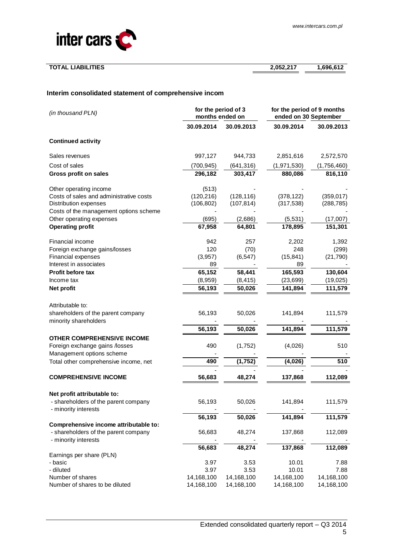

**TOTAL LIABILITIES 2,052,217 1,696,612**

## <span id="page-4-0"></span>**Interim consolidated statement of comprehensive incom**

| (in thousand PLN)                                            | for the period of 3<br>months ended on |            | for the period of 9 months<br>ended on 30 September |             |  |
|--------------------------------------------------------------|----------------------------------------|------------|-----------------------------------------------------|-------------|--|
|                                                              | 30.09.2014                             | 30.09.2013 | 30.09.2014                                          | 30.09.2013  |  |
| <b>Continued activity</b>                                    |                                        |            |                                                     |             |  |
| Sales revenues                                               | 997,127                                | 944,733    | 2,851,616                                           | 2,572,570   |  |
| Cost of sales                                                | (700,945)                              | (641, 316) | (1,971,530)                                         | (1,756,460) |  |
| Gross profit on sales                                        | 296,182                                | 303,417    | 880,086                                             | 816,110     |  |
| Other operating income                                       | (513)                                  |            |                                                     |             |  |
| Costs of sales and administrative costs                      | (120, 216)                             | (128, 116) | (378, 122)                                          | (359, 017)  |  |
| Distribution expenses                                        | (106, 802)                             | (107, 814) | (317, 538)                                          | (288, 785)  |  |
| Costs of the management options scheme                       |                                        |            |                                                     |             |  |
| Other operating expenses                                     | (695)                                  | (2,686)    | (5,531)                                             | (17,007)    |  |
| <b>Operating profit</b>                                      | 67,958                                 | 64,801     | 178,895                                             | 151,301     |  |
| Financial income                                             | 942                                    | 257        | 2,202                                               | 1,392       |  |
| Foreign exchange gains/losses                                | 120                                    | (70)       | 248                                                 | (299)       |  |
| <b>Financial expenses</b>                                    | (3,957)                                | (6, 547)   | (15, 841)                                           | (21, 790)   |  |
| Interest in associates                                       | 89                                     |            | 89                                                  |             |  |
| <b>Profit before tax</b>                                     | 65,152                                 | 58,441     | 165,593                                             | 130,604     |  |
| Income tax                                                   | (8,959)                                | (8, 415)   | (23, 699)                                           | (19,025)    |  |
| Net profit                                                   | 56,193                                 | 50,026     | 141,894                                             | 111,579     |  |
| Attributable to:                                             |                                        |            |                                                     |             |  |
| shareholders of the parent company                           | 56,193                                 | 50,026     | 141,894                                             | 111,579     |  |
| minority shareholders                                        |                                        |            |                                                     |             |  |
|                                                              | 56,193                                 | 50,026     | 141,894                                             | 111,579     |  |
| <b>OTHER COMPREHENSIVE INCOME</b>                            |                                        |            |                                                     |             |  |
| Foreign exchange gains /losses                               | 490                                    | (1,752)    | (4,026)                                             | 510         |  |
| Management options scheme                                    |                                        |            |                                                     |             |  |
| Total other comprehensive income, net                        | 490                                    | (1,752)    | (4,026)                                             | 510         |  |
| <b>COMPREHENSIVE INCOME</b>                                  | 56,683                                 | 48,274     | 137,868                                             | 112,089     |  |
|                                                              |                                        |            |                                                     |             |  |
| Net profit attributable to:                                  |                                        |            |                                                     |             |  |
| - shareholders of the parent company<br>- minority interests | 56,193                                 | 50,026     | 141,894                                             | 111,579     |  |
|                                                              | 56,193                                 | 50,026     | 141,894                                             | 111,579     |  |
| Comprehensive income attributable to:                        |                                        |            |                                                     |             |  |
| - shareholders of the parent company                         | 56,683                                 | 48,274     | 137,868                                             | 112,089     |  |
| - minority interests                                         |                                        |            |                                                     |             |  |
|                                                              | 56,683                                 | 48,274     | 137,868                                             | 112,089     |  |
| Earnings per share (PLN)                                     |                                        |            |                                                     |             |  |
| - basic                                                      | 3.97                                   | 3.53       | 10.01                                               | 7.88        |  |
| - diluted                                                    | 3.97                                   | 3.53       | 10.01                                               | 7.88        |  |
| Number of shares                                             | 14,168,100                             | 14,168,100 | 14,168,100                                          | 14,168,100  |  |
| Number of shares to be diluted                               | 14,168,100                             | 14,168,100 | 14,168,100                                          | 14,168,100  |  |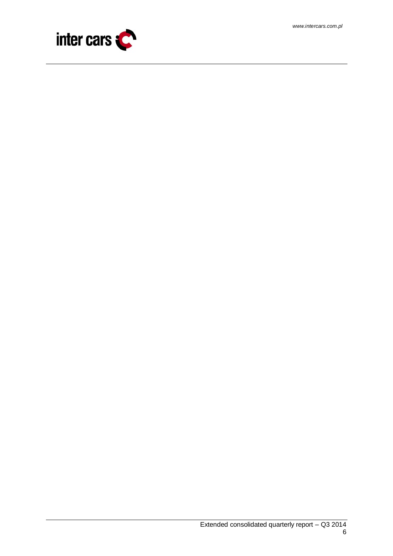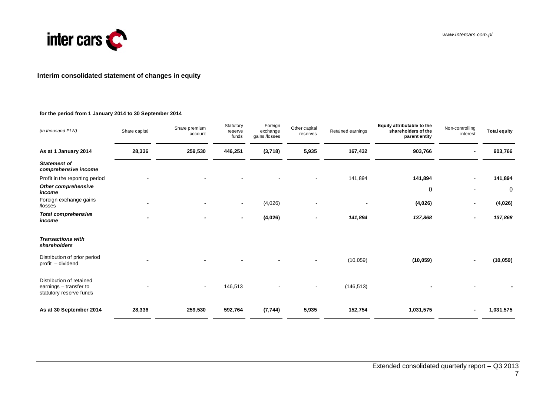

## **Interim consolidated statement of changes in equity**

#### **for the period from 1 January 2014 to 30 September 2014**

<span id="page-6-0"></span>

| (in thousand PLN)                                                             | Share capital | Share premium<br>account | Statutory<br>reserve<br>funds | Foreign<br>exchange<br>gains /losses | Other capital<br>reserves | Retained earnings | Equity attributable to the<br>shareholders of the<br>parent entity | Non-controlling<br>interest | <b>Total equity</b> |
|-------------------------------------------------------------------------------|---------------|--------------------------|-------------------------------|--------------------------------------|---------------------------|-------------------|--------------------------------------------------------------------|-----------------------------|---------------------|
| As at 1 January 2014                                                          | 28,336        | 259,530                  | 446,251                       | (3,718)                              | 5,935                     | 167,432           | 903,766                                                            |                             | 903,766             |
| <b>Statement of</b><br>comprehensive income                                   |               |                          |                               |                                      |                           |                   |                                                                    |                             |                     |
| Profit in the reporting period                                                |               |                          |                               |                                      |                           | 141,894           | 141,894                                                            |                             | 141,894             |
| Other comprehensive<br>income                                                 |               |                          |                               |                                      |                           |                   | $\mathbf{0}$                                                       |                             | $\boldsymbol{0}$    |
| Foreign exchange gains<br>/losses                                             |               |                          | $\blacksquare$                | (4,026)                              |                           |                   | (4,026)                                                            |                             | (4,026)             |
| <b>Total comprehensive</b><br>income                                          |               | $\blacksquare$           |                               | (4,026)                              |                           | 141,894           | 137,868                                                            | $\blacksquare$              | 137,868             |
| <b>Transactions with</b><br>shareholders                                      |               |                          |                               |                                      |                           |                   |                                                                    |                             |                     |
| Distribution of prior period<br>profit - dividend                             |               |                          |                               |                                      |                           | (10, 059)         | (10, 059)                                                          |                             | (10, 059)           |
| Distribution of retained<br>earnings - transfer to<br>statutory reserve funds |               | $\sim$                   | 146,513                       |                                      | $\overline{\phantom{a}}$  | (146, 513)        |                                                                    |                             |                     |
| As at 30 September 2014                                                       | 28,336        | 259,530                  | 592,764                       | (7, 744)                             | 5,935                     | 152,754           | 1,031,575                                                          |                             | 1,031,575           |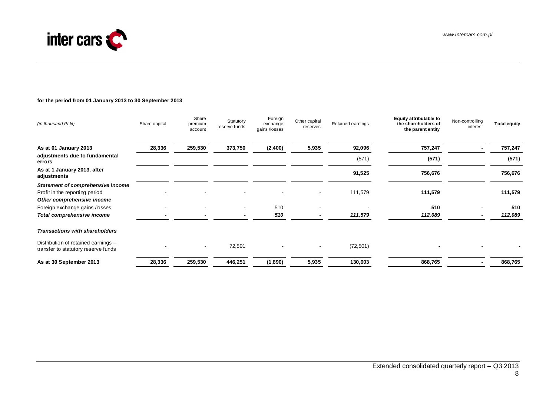

#### **for the period from 01 January 2013 to 30 September 2013**

| (in thousand PLN)                                                          | Share capital | Share<br>premium<br>account | Statutory<br>reserve funds | Foreign<br>exchange<br>gains /losses | Other capital<br>reserves | Retained earnings | <b>Equity attributable to</b><br>the shareholders of<br>the parent entity | Non-controlling<br>interest | <b>Total equity</b> |
|----------------------------------------------------------------------------|---------------|-----------------------------|----------------------------|--------------------------------------|---------------------------|-------------------|---------------------------------------------------------------------------|-----------------------------|---------------------|
| As at 01 January 2013                                                      | 28,336        | 259,530                     | 373,750                    | (2,400)                              | 5,935                     | 92,096            | 757,247                                                                   |                             | 757,247             |
| adjustments due to fundamental<br>errors                                   |               |                             |                            |                                      |                           | (571)             | (571)                                                                     |                             | (571)               |
| As at 1 January 2013, after<br>adjustments                                 |               |                             |                            |                                      |                           | 91,525            | 756,676                                                                   |                             | 756,676             |
| Statement of comprehensive income                                          |               |                             |                            |                                      |                           |                   |                                                                           |                             |                     |
| Profit in the reporting period                                             |               |                             |                            |                                      | $\overline{\phantom{a}}$  | 111,579           | 111,579                                                                   |                             | 111,579             |
| Other comprehensive income                                                 |               |                             |                            |                                      |                           |                   |                                                                           |                             |                     |
| Foreign exchange gains /losses                                             |               |                             | ۰                          | 510                                  |                           |                   | 510                                                                       |                             | 510                 |
| Total comprehensive income                                                 |               |                             |                            | 510                                  |                           | 111,579           | 112,089                                                                   |                             | 112,089             |
| <b>Transactions with shareholders</b>                                      |               |                             |                            |                                      |                           |                   |                                                                           |                             |                     |
| Distribution of retained earnings -<br>transfer to statutory reserve funds |               | $\blacksquare$              | 72,501                     |                                      | $\overline{\phantom{a}}$  | (72, 501)         |                                                                           | $\overline{\phantom{a}}$    |                     |
| As at 30 September 2013                                                    | 28,336        | 259,530                     | 446,251                    | (1,890)                              | 5,935                     | 130,603           | 868,765                                                                   |                             | 868,765             |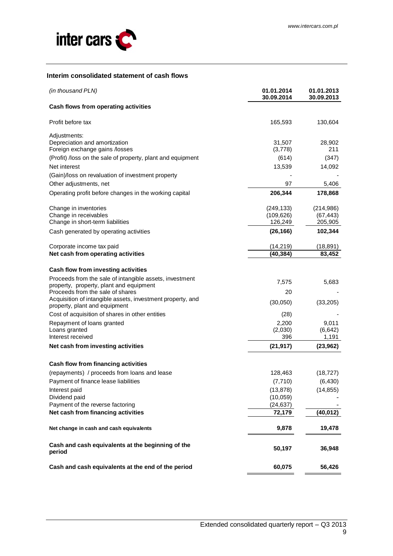

## <span id="page-8-0"></span>**Interim consolidated statement of cash flows**

| (in thousand PLN)                                                                              | 01.01.2014<br>30.09.2014 | 01.01.2013<br>30.09.2013 |
|------------------------------------------------------------------------------------------------|--------------------------|--------------------------|
| Cash flows from operating activities                                                           |                          |                          |
| Profit before tax                                                                              | 165,593                  | 130,604                  |
| Adjustments:<br>Depreciation and amortization                                                  | 31,507                   | 28,902                   |
| Foreign exchange gains /losses                                                                 | (3,778)                  | 211                      |
| (Profit) /loss on the sale of property, plant and equipment                                    | (614)                    | (347)                    |
| Net interest                                                                                   | 13,539                   | 14,092                   |
| (Gain)/loss on revaluation of investment property                                              |                          |                          |
| Other adjustments, net                                                                         | 97                       | 5,406                    |
| Operating profit before changes in the working capital                                         | 206,344                  | 178,868                  |
| Change in inventories                                                                          | (249, 133)               | (214, 986)               |
| Change in receivables                                                                          | (109, 626)               | (67, 443)                |
| Change in short-term liabilities                                                               | 126,249                  | 205,905                  |
| Cash generated by operating activities                                                         | (26, 166)                | 102,344                  |
| Corporate income tax paid                                                                      | (14, 219)                | (18, 891)                |
| Net cash from operating activities                                                             | (40, 384)                | 83,452                   |
| Cash flow from investing activities                                                            |                          |                          |
| Proceeds from the sale of intangible assets, investment                                        | 7,575                    | 5,683                    |
| property, property, plant and equipment                                                        |                          |                          |
| Proceeds from the sale of shares<br>Acquisition of intangible assets, investment property, and | 20                       |                          |
| property, plant and equipment                                                                  | (30,050)                 | (33,205)                 |
| Cost of acquisition of shares in other entities                                                | (28)                     |                          |
| Repayment of loans granted                                                                     | 2,200                    | 9,011                    |
| Loans granted<br>Interest received                                                             | (2,030)<br>396           | (6, 642)<br>1,191        |
| Net cash from investing activities                                                             | (21, 917)                | (23, 962)                |
|                                                                                                |                          |                          |
| Cash flow from financing activities                                                            | 128,463                  |                          |
| (repayments) / proceeds from loans and lease<br>Payment of finance lease liabilities           | (7, 710)                 | (18, 727)<br>(6, 430)    |
| Interest paid                                                                                  | (13, 878)                | (14, 855)                |
| Dividend paid                                                                                  | (10,059)                 |                          |
| Payment of the reverse factoring                                                               | (24, 637)                |                          |
| Net cash from financing activities                                                             | 72,179                   | (40, 012)                |
| Net change in cash and cash equivalents                                                        | 9,878                    | 19,478                   |
| Cash and cash equivalents at the beginning of the<br>period                                    | 50,197                   | 36,948                   |
| Cash and cash equivalents at the end of the period                                             | 60,075                   | 56,426                   |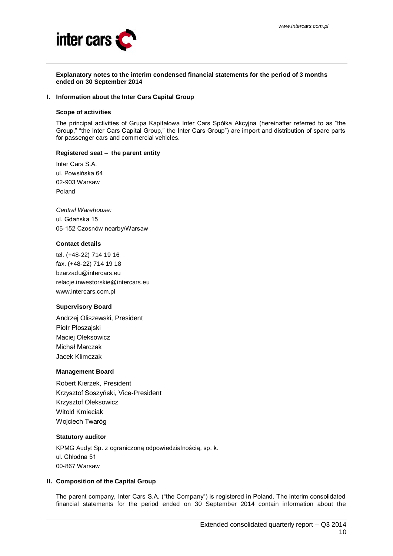

<span id="page-9-0"></span>**Explanatory notes to the interim condensed financial statements for the period of 3 months ended on 30 September 2014**

#### <span id="page-9-1"></span>**I. Information about the Inter Cars Capital Group**

#### **Scope of activities**

The principal activities of Grupa Kapitałowa Inter Cars Spółka Akcyjna (hereinafter referred to as "the Group," "the Inter Cars Capital Group," the Inter Cars Group") are import and distribution of spare parts for passenger cars and commercial vehicles.

#### **Registered seat – the parent entity**

Inter Cars S.A. ul. Powsińska 64 02-903 Warsaw Poland

*Central Warehouse:* ul. Gdańska 15 05-152 Czosnów nearby/Warsaw

#### **Contact details**

tel. (+48-22) 714 19 16 fax. (+48-22) 714 19 18 bzarzadu@intercars.eu relacje.inwestorskie@intercars.eu www.intercars.com.pl

#### **Supervisory Board**

Andrzej Oliszewski, President Piotr Płoszajski Maciej Oleksowicz Michał Marczak Jacek Klimczak

#### **Management Board**

Robert Kierzek, President Krzysztof Soszyński, Vice-President Krzysztof Oleksowicz Witold Kmieciak Wojciech Twaróg

#### **Statutory auditor**

KPMG Audyt Sp. z ograniczoną odpowiedzialnością, sp. k. ul. Chłodna 51 00-867 Warsaw

#### <span id="page-9-2"></span>**II. Composition of the Capital Group**

The parent company, Inter Cars S.A. ("the Company") is registered in Poland. The interim consolidated financial statements for the period ended on 30 September 2014 contain information about the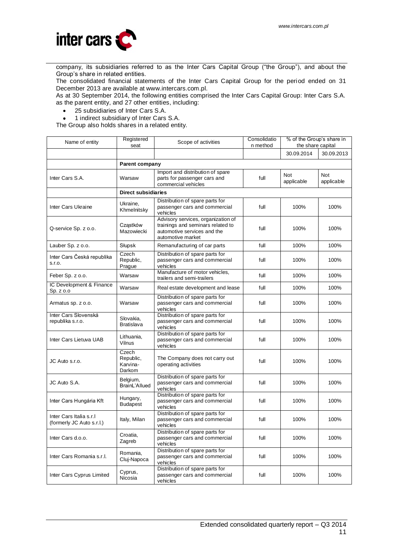

company, its subsidiaries referred to as the Inter Cars Capital Group ("the Group"), and about the Group's share in related entities.

The consolidated financial statements of the Inter Cars Capital Group for the period ended on 31 December 2013 are available at www.intercars.com.pl.

As at 30 September 2014, the following entities comprised the Inter Cars Capital Group: Inter Cars S.A. as the parent entity, and 27 other entities, including:

- 25 subsidiaries of Inter Cars S.A.  $\bullet$
- $\bullet$ 1 indirect subsidiary of Inter Cars S.A.

The Group also holds shares in a related entity.

| Name of entity                                       | Registered<br>Scope of activities<br>seat |                                                                                                                             | Consolidatio<br>n method |                          | % of the Group's share in<br>the share capital |
|------------------------------------------------------|-------------------------------------------|-----------------------------------------------------------------------------------------------------------------------------|--------------------------|--------------------------|------------------------------------------------|
|                                                      |                                           |                                                                                                                             |                          | 30.09.2014               | 30.09.2013                                     |
|                                                      | <b>Parent company</b>                     |                                                                                                                             |                          |                          |                                                |
| Inter Cars S.A.                                      | Warsaw                                    | Import and distribution of spare<br>parts for passenger cars and<br>commercial vehicles                                     | full                     | <b>Not</b><br>applicable | <b>Not</b><br>applicable                       |
|                                                      | <b>Direct subsidiaries</b>                |                                                                                                                             |                          |                          |                                                |
| Inter Cars Ukraine                                   | Ukraine,<br>Khmelnitsky                   | Distribution of spare parts for<br>passenger cars and commercial<br>vehicles                                                | full                     | 100%                     | 100%                                           |
| Q-service Sp. z o.o.                                 | Czastków<br>Mazowiecki                    | Advisory services, organization of<br>trainings and seminars related to<br>automotive services and the<br>automotive market | full                     | 100%                     | 100%                                           |
| Lauber Sp. z o.o.                                    | Słupsk                                    | Remanufacturing of car parts                                                                                                | full                     | 100%                     | 100%                                           |
| Inter Cars Česká republika<br>S.I.O.                 | Czech<br>Republic,<br>Prague              | Distribution of spare parts for<br>passenger cars and commercial<br>vehicles                                                | full                     | 100%                     | 100%                                           |
| Feber Sp. z o.o.                                     | Warsaw                                    | Manufacture of motor vehicles,<br>trailers and semi-trailers                                                                | full                     | 100%                     | 100%                                           |
| IC Development & Finance<br>Sp. z o.o                | Warsaw                                    | Real estate development and lease                                                                                           | full                     | 100%                     | 100%                                           |
| Armatus sp. z o.o.                                   | Warsaw                                    | Distribution of spare parts for<br>passenger cars and commercial<br>vehicles                                                | full                     | 100%                     | 100%                                           |
| Inter Cars Slovenská<br>republika s.r.o.             | Slovakia,<br><b>Bratislava</b>            | Distribution of spare parts for<br>passenger cars and commercial<br>vehicles                                                | full                     | 100%                     | 100%                                           |
| Inter Cars Lietuva UAB                               | Lithuania,<br><b>Vilnus</b>               | Distribution of spare parts for<br>passenger cars and commercial<br>vehicles                                                | full                     | 100%                     | 100%                                           |
| JC Auto s.r.o.                                       | Czech<br>Republic,<br>Karvina-<br>Darkom  | The Company does not carry out<br>operating activities                                                                      | full                     | 100%                     | 100%                                           |
| JC Auto S.A.                                         | Belgium,<br>BrainL'Allued                 | Distribution of spare parts for<br>passenger cars and commercial<br>vehicles                                                | full                     | 100%                     | 100%                                           |
| Inter Cars Hungária Kft                              | Hungary,<br><b>Budapest</b>               | Distribution of spare parts for<br>passenger cars and commercial<br>vehicles                                                | full                     | 100%                     | 100%                                           |
| Inter Cars Italia s.r.I<br>(formerly JC Auto s.r.l.) | Italy, Milan                              | Distribution of spare parts for<br>passenger cars and commercial<br>vehicles                                                | full                     | 100%                     | 100%                                           |
| Inter Cars d.o.o.                                    | Croatia,<br>Zagreb                        | Distribution of spare parts for<br>passenger cars and commercial<br>vehicles                                                | full                     | 100%                     | 100%                                           |
| Inter Cars Romania s.r.l.                            | Romania,<br>Cluj-Napoca                   | Distribution of spare parts for<br>passenger cars and commercial<br>vehicles                                                | full                     | 100%                     | 100%                                           |
| Inter Cars Cyprus Limited                            | Cyprus,<br>Nicosia                        | Distribution of spare parts for<br>passenger cars and commercial<br>vehicles                                                | full                     | 100%                     | 100%                                           |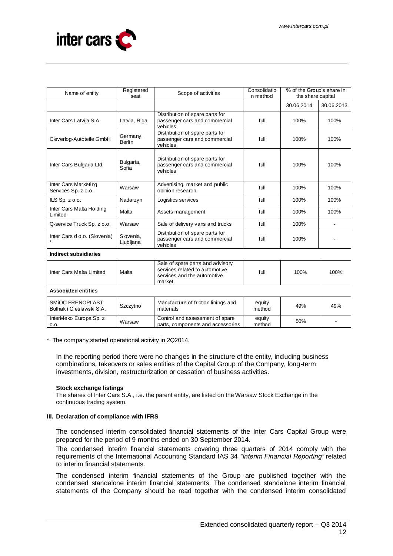

| Name of entity                                      | Registered<br>Scope of activities<br>seat |                                                                                                             | Consolidatio<br>n method | % of the Group's share in<br>the share capital |            |
|-----------------------------------------------------|-------------------------------------------|-------------------------------------------------------------------------------------------------------------|--------------------------|------------------------------------------------|------------|
|                                                     |                                           |                                                                                                             |                          | 30.06.2014                                     | 30.06.2013 |
| Inter Cars Latvija SIA                              | Latvia, Riga                              | Distribution of spare parts for<br>passenger cars and commercial<br>vehicles                                | full                     | 100%                                           | 100%       |
| Cleverlog-Autoteile GmbH                            | Germany,<br><b>Berlin</b>                 | Distribution of spare parts for<br>passenger cars and commercial<br>vehicles                                | full                     | 100%                                           | 100%       |
| Inter Cars Bulgaria Ltd.                            | Bulgaria,<br>Sofia                        | Distribution of spare parts for<br>passenger cars and commercial<br>vehicles                                | full                     | 100%                                           | 100%       |
| Inter Cars Marketing<br>Services Sp. z o.o.         | Warsaw                                    | Advertising, market and public<br>opinion research                                                          | full                     | 100%                                           | 100%       |
| ILS Sp. z o.o.                                      | Nadarzyn                                  | Logistics services                                                                                          | full                     | 100%                                           | 100%       |
| Inter Cars Malta Holding<br>Limited                 | Malta                                     | Assets management                                                                                           | full                     | 100%                                           | 100%       |
| Q-service Truck Sp. z o.o.                          | Warsaw                                    | Sale of delivery vans and trucks                                                                            | full                     | 100%                                           |            |
| Inter Cars d o.o. (Slovenia)                        | Slovenia,<br>Ljubljana                    | Distribution of spare parts for<br>passenger cars and commercial<br>vehicles                                | full                     | 100%                                           |            |
| <b>Indirect subsidiaries</b>                        |                                           |                                                                                                             |                          |                                                |            |
| Inter Cars Malta Limited                            | Malta                                     | Sale of spare parts and advisory<br>services related to automotive<br>services and the automotive<br>market | full                     | 100%                                           | 100%       |
| <b>Associated entities</b>                          |                                           |                                                                                                             |                          |                                                |            |
| <b>SMIOC FRENOPLAST</b><br>Bułhak i Cieślawski S.A. | Szczytno                                  | Manufacture of friction linings and<br>materials                                                            | equity<br>method         | 49%                                            | 49%        |
| InterMeko Europa Sp. z<br>0.0.                      | Warsaw                                    | Control and assessment of spare<br>parts, components and accessories                                        | equity<br>method         | 50%                                            |            |

\* The company started operational activity in 2Q2014.

In the reporting period there were no changes in the structure of the entity, including business combinations, takeovers or sales entities of the Capital Group of the Company, long-term investments, division, restructurization or cessation of business activities.

#### **Stock exchange listings**

The shares of Inter Cars S.A., i.e. the parent entity, are listed on the Warsaw Stock Exchange in the continuous trading system.

#### <span id="page-11-0"></span>**III. Declaration of compliance with IFRS**

The condensed interim consolidated financial statements of the Inter Cars Capital Group were prepared for the period of 9 months ended on 30 September 2014.

The condensed interim financial statements covering three quarters of 2014 comply with the requirements of the International Accounting Standard IAS 34 *"Interim Financial Reporting"* related to interim financial statements.

The condensed interim financial statements of the Group are published together with the condensed standalone interim financial statements. The condensed standalone interim financial statements of the Company should be read together with the condensed interim consolidated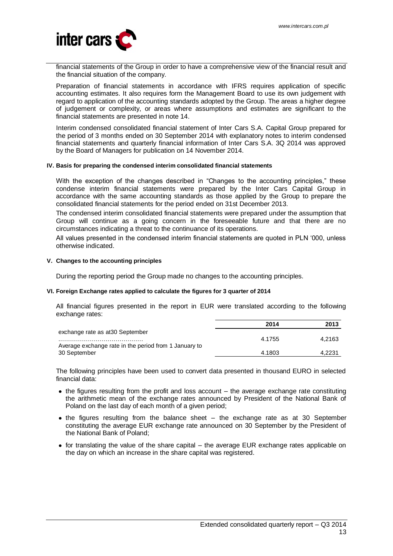

financial statements of the Group in order to have a comprehensive view of the financial result and the financial situation of the company.

Preparation of financial statements in accordance with IFRS requires application of specific accounting estimates. It also requires form the Management Board to use its own judgement with regard to application of the accounting standards adopted by the Group. The areas a higher degree of judgement or complexity, or areas where assumptions and estimates are significant to the financial statements are presented in note 14.

Interim condensed consolidated financial statement of Inter Cars S.A. Capital Group prepared for the period of 3 months ended on 30 September 2014 with explanatory notes to interim condensed financial statements and quarterly financial information of Inter Cars S.A. 3Q 2014 was approved by the Board of Managers for publication on 14 November 2014.

#### <span id="page-12-0"></span>**IV. Basis for preparing the condensed interim consolidated financial statements**

With the exception of the changes described in "Changes to the accounting principles," these condense interim financial statements were prepared by the Inter Cars Capital Group in accordance with the same accounting standards as those applied by the Group to prepare the consolidated financial statements for the period ended on 31st December 2013.

The condensed interim consolidated financial statements were prepared under the assumption that Group will continue as a going concern in the foreseeable future and that there are no circumstances indicating a threat to the continuance of its operations.

All values presented in the condensed interim financial statements are quoted in PLN '000, unless otherwise indicated.

#### <span id="page-12-1"></span>**V. Changes to the accounting principles**

During the reporting period the Group made no changes to the accounting principles.

#### <span id="page-12-2"></span>**VI. Foreign Exchange rates applied to calculate the figures for 3 quarter of 2014**

All financial figures presented in the report in EUR were translated according to the following exchange rates:

|                                                       | 2014   | 2013   |
|-------------------------------------------------------|--------|--------|
| exchange rate as at 30 September                      |        |        |
|                                                       | 4.1755 | 4.2163 |
| Average exchange rate in the period from 1 January to |        |        |
| 30 September                                          | 4.1803 | 4.2231 |

The following principles have been used to convert data presented in thousand EURO in selected financial data:

- the figures resulting from the profit and loss account the average exchange rate constituting the arithmetic mean of the exchange rates announced by President of the National Bank of Poland on the last day of each month of a given period;
- $\bullet$  the figures resulting from the balance sheet the exchange rate as at 30 September constituting the average EUR exchange rate announced on 30 September by the President of the National Bank of Poland;
- for translating the value of the share capital the average EUR exchange rates applicable on the day on which an increase in the share capital was registered.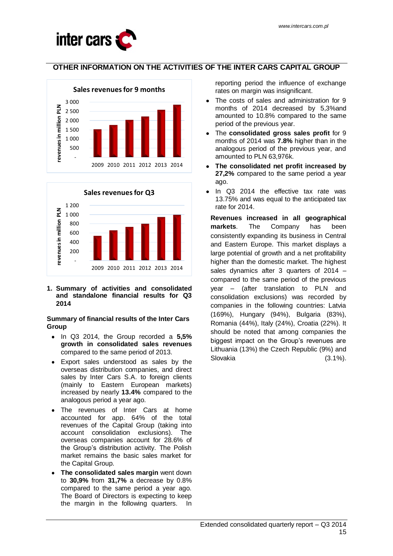

# <span id="page-14-0"></span>**OTHER INFORMATION ON THE ACTIVITIES OF THE INTER CARS CAPITAL GROUP**





<span id="page-14-1"></span>**1. Summary of activities and consolidated and standalone financial results for Q3 2014**

### **Summary of financial results of the Inter Cars Group**

- In Q3 2014, the Group recorded a **5,5% growth in consolidated sales revenues**  compared to the same period of 2013.
- Export sales understood as sales by the overseas distribution companies, and direct sales by Inter Cars S.A. to foreign clients (mainly to Eastern European markets) increased by nearly **13.4%** compared to the analogous period a year ago.
- The revenues of Inter Cars at home accounted for app. 64% of the total revenues of the Capital Group (taking into account consolidation exclusions). The overseas companies account for 28.6% of the Group's distribution activity. The Polish market remains the basic sales market for the Capital Group.
- **The consolidated sales margin** went down to **30,9%** from **31,7%** a decrease by 0.8% compared to the same period a year ago. The Board of Directors is expecting to keep the margin in the following quarters. In

reporting period the influence of exchange rates on margin was insignificant.

- The costs of sales and administration for 9 months of 2014 decreased by 5,3%and amounted to 10.8% compared to the same period of the previous year.
- The **consolidated gross sales profit** for 9 months of 2014 was **7.8%** higher than in the analogous period of the previous year, and amounted to PLN 63,976k.
- **The consolidated net profit increased by 27,2%** compared to the same period a year ago.
- In Q3 2014 the effective tax rate was 13.75% and was equal to the anticipated tax rate for 2014.

**Revenues increased in all geographical markets**. The Company has been consistently expanding its business in Central and Eastern Europe. This market displays a large potential of growth and a net profitability higher than the domestic market. The highest sales dynamics after 3 quarters of 2014 – compared to the same period of the previous year – (after translation to PLN and consolidation exclusions) was recorded by companies in the following countries: Latvia (169%), Hungary (94%), Bulgaria (83%), Romania (44%), Italy (24%), Croatia (22%). It should be noted that among companies the biggest impact on the Group's revenues are Lithuania (13%) the Czech Republic (9%) and Slovakia (3.1%).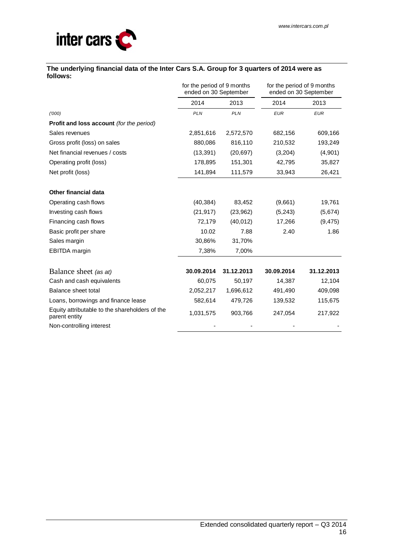

## **The underlying financial data of the Inter Cars S.A. Group for 3 quarters of 2014 were as follows:**

|                                                                 | for the period of 9 months<br>ended on 30 September |            | for the period of 9 months<br>ended on 30 September |            |
|-----------------------------------------------------------------|-----------------------------------------------------|------------|-----------------------------------------------------|------------|
|                                                                 | 2014                                                | 2013       | 2014                                                | 2013       |
| (000)                                                           | <b>PLN</b>                                          | <b>PLN</b> | <b>EUR</b>                                          | <b>EUR</b> |
| <b>Profit and loss account</b> (for the period)                 |                                                     |            |                                                     |            |
| Sales revenues                                                  | 2,851,616                                           | 2,572,570  | 682,156                                             | 609,166    |
| Gross profit (loss) on sales                                    | 880,086                                             | 816,110    | 210,532                                             | 193,249    |
| Net financial revenues / costs                                  | (13, 391)                                           | (20, 697)  | (3,204)                                             | (4,901)    |
| Operating profit (loss)                                         | 178,895                                             | 151,301    | 42,795                                              | 35,827     |
| Net profit (loss)                                               | 141,894                                             | 111,579    | 33,943                                              | 26,421     |
| <b>Other financial data</b>                                     |                                                     |            |                                                     |            |
| Operating cash flows                                            | (40, 384)                                           | 83,452     | (9,661)                                             | 19,761     |
| Investing cash flows                                            | (21, 917)                                           | (23,962)   | (5,243)                                             | (5,674)    |
| Financing cash flows                                            | 72,179                                              | (40, 012)  | 17,266                                              | (9, 475)   |
| Basic profit per share                                          | 10.02                                               | 7.88       | 2.40                                                | 1.86       |
| Sales margin                                                    | 30,86%                                              | 31,70%     |                                                     |            |
| <b>EBITDA</b> margin                                            | 7,38%                                               | 7,00%      |                                                     |            |
| Balance sheet (as at)                                           | 30.09.2014                                          | 31.12.2013 | 30.09.2014                                          | 31.12.2013 |
| Cash and cash equivalents                                       | 60,075                                              | 50,197     | 14,387                                              | 12,104     |
| Balance sheet total                                             | 2,052,217                                           | 1,696,612  | 491,490                                             | 409,098    |
| Loans, borrowings and finance lease                             | 582,614                                             | 479,726    | 139,532                                             | 115,675    |
| Equity attributable to the shareholders of the<br>parent entity | 1,031,575                                           | 903,766    | 247,054                                             | 217,922    |
| Non-controlling interest                                        |                                                     |            |                                                     |            |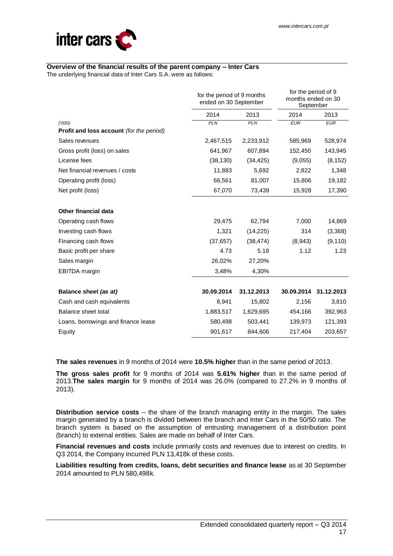

## **Overview of the financial results of the parent company – Inter Cars**

The underlying financial data of Inter Cars S.A. were as follows:

|                                                 | for the period of 9 months<br>ended on 30 September |            | for the period of 9<br>months ended on 30<br>September |            |
|-------------------------------------------------|-----------------------------------------------------|------------|--------------------------------------------------------|------------|
|                                                 | 2014                                                | 2013       | 2014                                                   | 2013       |
| (000)                                           | PLN                                                 | PLN        | <b>EUR</b>                                             | <b>EUR</b> |
| <b>Profit and loss account (for the period)</b> |                                                     |            |                                                        |            |
| Sales revenues                                  | 2,467,515                                           | 2,233,912  | 585,969                                                | 528,974    |
| Gross profit (loss) on sales                    | 641,967                                             | 607,894    | 152,450                                                | 143,945    |
| License fees                                    | (38, 130)                                           | (34, 425)  | (9,055)                                                | (8, 152)   |
| Net financial revenues / costs                  | 11,883                                              | 5,692      | 2,822                                                  | 1,348      |
| Operating profit (loss)                         | 66,561                                              | 81,007     | 15,806                                                 | 19,182     |
| Net profit (loss)                               | 67,070                                              | 73,439     | 15,928                                                 | 17,390     |
| <b>Other financial data</b>                     |                                                     |            |                                                        |            |
| Operating cash flows                            | 29,475                                              | 62,794     | 7,000                                                  | 14,869     |
| Investing cash flows                            | 1,321                                               | (14, 225)  | 314                                                    | (3,368)    |
| Financing cash flows                            | (37, 657)                                           | (38, 474)  | (8,943)                                                | (9, 110)   |
| Basic profit per share                          | 4.73                                                | 5.18       | 1.12                                                   | 1.23       |
| Sales margin                                    | 26,02%                                              | 27,20%     |                                                        |            |
| <b>EBITDA</b> margin                            | 3,48%                                               | 4,30%      |                                                        |            |
|                                                 |                                                     |            |                                                        |            |
| Balance sheet (as at)                           | 30.09.2014                                          | 31.12.2013 | 30.09.2014                                             | 31.12.2013 |
| Cash and cash equivalents                       | 8,941                                               | 15,802     | 2,156                                                  | 3,810      |
| Balance sheet total                             | 1,883,517                                           | 1,629,695  | 454,166                                                | 392,963    |
| Loans, borrowings and finance lease             | 580,498                                             | 503,441    | 139,973                                                | 121,393    |
| Equity                                          | 901,617                                             | 844,606    | 217,404                                                | 203,657    |

**The sales revenues** in 9 months of 2014 were **10.5% higher** than in the same period of 2013.

**The gross sales profit** for 9 months of 2014 was **5.61% higher** than in the same period of 2013.**The sales margin** for 9 months of 2014 was 26.0% (compared to 27.2% in 9 months of 2013).

**Distribution service costs** – the share of the branch managing entity in the margin. The sales margin generated by a branch is divided between the branch and Inter Cars in the 50/50 ratio. The branch system is based on the assumption of entrusting management of a distribution point (branch) to external entities. Sales are made on behalf of Inter Cars.

**Financial revenues and costs** include primarily costs and revenues due to interest on credits. In Q3 2014, the Company incurred PLN 13,418k of these costs.

**Liabilities resulting from credits, loans, debt securities and finance lease** as at 30 September 2014 amounted to PLN 580,498k.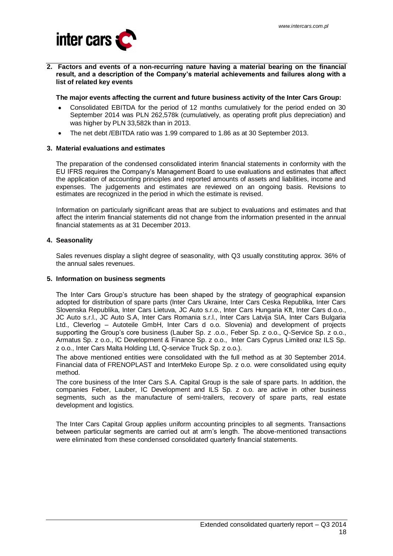

<span id="page-17-0"></span>**2. Factors and events of a non-recurring nature having a material bearing on the financial result, and a description of the Company's material achievements and failures along with a list of related key events**

**The major events affecting the current and future business activity of the Inter Cars Group:**

- Consolidated EBITDA for the period of 12 months cumulatively for the period ended on 30 September 2014 was PLN 262,578k (cumulatively, as operating profit plus depreciation) and was higher by PLN 33,582k than in 2013.
- The net debt /EBITDA ratio was 1.99 compared to 1.86 as at 30 September 2013.

### <span id="page-17-1"></span>**3. Material evaluations and estimates**

The preparation of the condensed consolidated interim financial statements in conformity with the EU IFRS requires the Company's Management Board to use evaluations and estimates that affect the application of accounting principles and reported amounts of assets and liabilities, income and expenses. The judgements and estimates are reviewed on an ongoing basis. Revisions to estimates are recognized in the period in which the estimate is revised.

Information on particularly significant areas that are subject to evaluations and estimates and that affect the interim financial statements did not change from the information presented in the annual financial statements as at 31 December 2013.

### <span id="page-17-2"></span>**4. Seasonality**

Sales revenues display a slight degree of seasonality, with Q3 usually constituting approx. 36% of the annual sales revenues.

#### <span id="page-17-3"></span>**5. Information on business segments**

The Inter Cars Group's structure has been shaped by the strategy of geographical expansion adopted for distribution of spare parts (Inter Cars Ukraine, Inter Cars Ceska Republika, Inter Cars Slovenska Republika, Inter Cars Lietuva, JC Auto s.r.o., Inter Cars Hungaria Kft, Inter Cars d.o.o., JC Auto s.r.l., JC Auto S.A, Inter Cars Romania s.r.l., Inter Cars Latvija SIA, Inter Cars Bulgaria Ltd., Cleverlog – Autoteile GmbH, Inter Cars d o.o. Slovenia) and development of projects supporting the Group's core business (Lauber Sp. z .o.o., Feber Sp. z o.o., Q-Service Sp. z o.o., Armatus Sp. z o.o., IC Development & Finance Sp. z o.o., Inter Cars Cyprus Limited oraz ILS Sp. z o.o., Inter Cars Malta Holding Ltd, Q-service Truck Sp. z o.o.).

The above mentioned entities were consolidated with the full method as at 30 September 2014. Financial data of FRENOPLAST and InterMeko Europe Sp. z o.o. were consolidated using equity method.

The core business of the Inter Cars S.A. Capital Group is the sale of spare parts. In addition, the companies Feber, Lauber, IC Development and ILS Sp. z o.o. are active in other business segments, such as the manufacture of semi-trailers, recovery of spare parts, real estate development and logistics.

The Inter Cars Capital Group applies uniform accounting principles to all segments. Transactions between particular segments are carried out at arm's length. The above-mentioned transactions were eliminated from these condensed consolidated quarterly financial statements.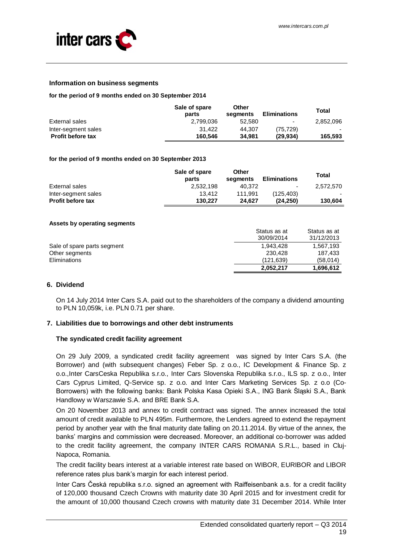

#### **Information on business segments**

**for the period of 9 months ended on 30 September 2014**

|                          | Sale of spare<br>parts | Other<br>seaments | <b>Eliminations</b>      | Total     |
|--------------------------|------------------------|-------------------|--------------------------|-----------|
| External sales           | 2.799.036              | 52.580            | $\overline{\phantom{a}}$ | 2.852.096 |
| Inter-segment sales      | 31.422                 | 44.307            | (75.729)                 |           |
| <b>Profit before tax</b> | 160.546                | 34.981            | (29.934)                 | 165,593   |

#### **for the period of 9 months ended on 30 September 2013**

|                          | Sale of spare<br>parts | Other<br>seaments | <b>Eliminations</b> | Total     |
|--------------------------|------------------------|-------------------|---------------------|-----------|
| External sales           | 2.532.198              | 40.372            | $\overline{a}$      | 2.572.570 |
| Inter-segment sales      | 13.412                 | 111.991           | (125.403)           |           |
| <b>Profit before tax</b> | 130.227                | 24.627            | (24.250)            | 130.604   |

#### **Assets by operating segments**

|                             | Status as at | Status as at |
|-----------------------------|--------------|--------------|
|                             | 30/09/2014   | 31/12/2013   |
| Sale of spare parts segment | 1.943.428    | 1.567.193    |
| Other segments              | 230.428      | 187.433      |
| Eliminations                | (121.639)    | (58, 014)    |
|                             | 2.052.217    | 1.696.612    |

### <span id="page-18-0"></span>**6. Dividend**

On 14 July 2014 Inter Cars S.A. paid out to the shareholders of the company a dividend amounting to PLN 10,059k, i.e. PLN 0.71 per share.

#### <span id="page-18-1"></span>**7. Liabilities due to borrowings and other debt instruments**

#### **The syndicated credit facility agreement**

On 29 July 2009, a syndicated credit facility agreement was signed by [Inter Cars](http://www.bankier.pl/inwestowanie/profile/quote.html?format=detailed&bid=10000000042) S.A. (the Borrower) and (with subsequent changes) Feber Sp. z o.o., IC Development & Finance Sp. z o.o.[,Inter CarsC](http://www.bankier.pl/inwestowanie/profile/quote.html?format=detailed&bid=10000000042)eska Republika s.r.o., [Inter Cars](http://www.bankier.pl/inwestowanie/profile/quote.html?format=detailed&bid=10000000042) Slovenska Republika s.r.o., ILS sp. z o.o., Inter Cars Cyprus Limited, Q-Service sp. z o.o. and Inter Cars Marketing Services Sp. z o.o (Co-Borrowers) with the following banks: Bank Polska Kasa Opieki S.A., ING Bank Śląski S.A., Bank Handlowy w Warszawie S.A. and BRE Bank S.A.

On 20 November 2013 and annex to credit contract was signed. The annex increased the total amount of credit available to PLN 495m. Furthermore, the Lenders agreed to extend the repayment period by another year with the final maturity date falling on 20.11.2014. By virtue of the annex, the banks' margins and commission were decreased. Moreover, an additional co-borrower was added to the credit facility agreement, the company [INTER CARS](http://www.bankier.pl/inwestowanie/profile/quote.html?format=detailed&bid=10000000042) ROMANIA S.R.L., based in Cluj-Napoca, Romania.

The credit facility bears interest at a variable interest rate based on WIBOR, EURIBOR and LIBOR reference rates plus bank's margin for each interest period.

Inter Cars Česká republika s.r.o. signed an agreement with Raiffeisenbank a.s. for a credit facility of 120,000 thousand Czech Crowns with maturity date 30 April 2015 and for investment credit for the amount of 10,000 thousand Czech crowns with maturity date 31 December 2014. While Inter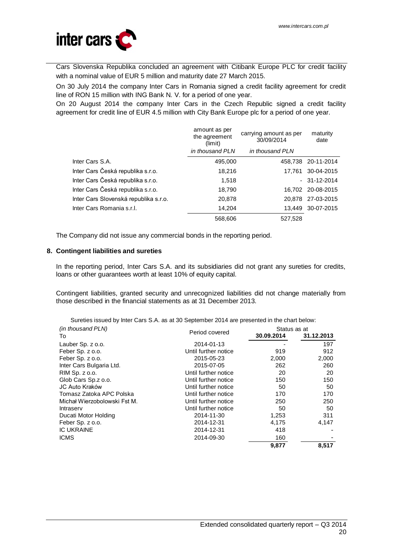

Cars Slovenska Republika concluded an agreement with Citibank Europe PLC for credit facility with a nominal value of EUR 5 million and maturity date 27 March 2015.

On 30 July 2014 the company Inter Cars in Romania signed a credit facility agreement for credit line of RON 15 million with ING Bank N. V. for a period of one year.

On 20 August 2014 the company Inter Cars in the Czech Republic signed a credit facility agreement for credit line of EUR 4.5 million with City Bank Europe plc for a period of one year.

|                                       | amount as per<br>the agreement<br>(limit) | carrying amount as per<br>30/09/2014 | maturity<br>date   |
|---------------------------------------|-------------------------------------------|--------------------------------------|--------------------|
|                                       | in thousand PLN                           | in thousand PLN                      |                    |
| Inter Cars S.A.                       | 495,000                                   |                                      | 458.738 20-11-2014 |
| Inter Cars Česká republika s.r.o.     | 18,216                                    | 17.761                               | 30-04-2015         |
| Inter Cars Česká republika s.r.o.     | 1,518                                     |                                      | $-31-12-2014$      |
| Inter Cars Česká republika s.r.o.     | 18,790                                    |                                      | 16,702 20-08-2015  |
| Inter Cars Slovenská republika s.r.o. | 20,878                                    |                                      | 20,878 27-03-2015  |
| Inter Cars Romania s.r.l.             | 14,204                                    |                                      | 13,449 30-07-2015  |
|                                       | 568,606                                   | 527,528                              |                    |

The Company did not issue any commercial bonds in the reporting period.

### <span id="page-19-0"></span>**8. Contingent liabilities and sureties**

In the reporting period, Inter Cars S.A. and its subsidiaries did not grant any sureties for credits, loans or other guarantees worth at least 10% of equity capital.

Contingent liabilities, granted security and unrecognized liabilities did not change materially from those described in the financial statements as at 31 December 2013.

Sureties issued by Inter Cars S.A. as at 30 September 2014 are presented in the chart below:

| (in thousand PLN)            |                      |            | Status as at |  |
|------------------------------|----------------------|------------|--------------|--|
| To                           | Period covered       | 30.09.2014 | 31.12.2013   |  |
| Lauber Sp. z o.o.            | 2014-01-13           |            | 197          |  |
| Feber Sp. z o.o.             | Until further notice | 919        | 912          |  |
| Feber Sp. z o.o.             | 2015-05-23           | 2,000      | 2,000        |  |
| Inter Cars Bulgaria Ltd.     | 2015-07-05           | 262        | 260          |  |
| RIM Sp. z o.o.               | Until further notice | 20         | 20           |  |
| Glob Cars Sp.z o.o.          | Until further notice | 150        | 150          |  |
| JC Auto Kraków               | Until further notice | 50         | 50           |  |
| Tomasz Zatoka APC Polska     | Until further notice | 170        | 170          |  |
| Michał Wierzobolowski Fst M. | Until further notice | 250        | 250          |  |
| Intraserv                    | Until further notice | 50         | 50           |  |
| Ducati Motor Holding         | 2014-11-30           | 1,253      | 311          |  |
| Feber Sp. z o.o.             | 2014-12-31           | 4,175      | 4,147        |  |
| <b>IC UKRAINE</b>            | 2014-12-31           | 418        |              |  |
| <b>ICMS</b>                  | 2014-09-30           | 160        |              |  |
|                              |                      | 9,877      | 8,517        |  |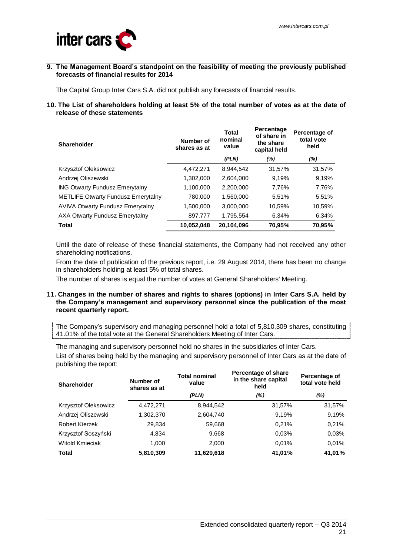

## <span id="page-20-0"></span>**9. The Management Board's standpoint on the feasibility of meeting the previously published forecasts of financial results for 2014**

<span id="page-20-1"></span>The Capital Group Inter Cars S.A. did not publish any forecasts of financial results.

## **10. The List of shareholders holding at least 5% of the total number of votes as at the date of release of these statements**

| <b>Shareholder</b>                        | Number of<br>shares as at | <b>Total</b><br>nominal<br>value | Percentage<br>of share in<br>the share<br>capital held | Percentage of<br>total vote<br>held |
|-------------------------------------------|---------------------------|----------------------------------|--------------------------------------------------------|-------------------------------------|
|                                           |                           | (PLN)                            | $(\%)$                                                 | $(\%)$                              |
| Krzysztof Oleksowicz                      | 4,472,271                 | 8,944,542                        | 31,57%                                                 | 31,57%                              |
| Andrzej Oliszewski                        | 1,302,000                 | 2,604,000                        | 9,19%                                                  | 9,19%                               |
| <b>ING Otwarty Fundusz Emerytalny</b>     | 1,100,000                 | 2,200,000                        | 7.76%                                                  | 7,76%                               |
| <b>METLIFE Otwarty Fundusz Emerytalny</b> | 780,000                   | 1,560,000                        | 5,51%                                                  | 5,51%                               |
| <b>AVIVA Otwarty Fundusz Emerytalny</b>   | 1,500,000                 | 3,000,000                        | 10,59%                                                 | 10,59%                              |
| AXA Otwarty Fundusz Emerytalny            | 897,777                   | 1,795,554                        | 6,34%                                                  | 6,34%                               |
| <b>Total</b>                              | 10,052,048                | 20,104,096                       | 70,95%                                                 | 70.95%                              |

Until the date of release of these financial statements, the Company had not received any other shareholding notifications.

From the date of publication of the previous report, i.e. 29 August 2014, there has been no change in shareholders holding at least 5% of total shares.

<span id="page-20-2"></span>The number of shares is equal the number of votes at General Shareholders' Meeting.

## **11. Changes in the number of shares and rights to shares (options) in Inter Cars S.A. held by the Company's management and supervisory personnel since the publication of the most recent quarterly report.**

The Company's supervisory and managing personnel hold a total of 5,810,309 shares, constituting 41.01% of the total vote at the General Shareholders Meeting of Inter Cars.

The managing and supervisory personnel hold no shares in the subsidiaries of Inter Cars. List of shares being held by the managing and supervisory personnel of Inter Cars as at the date of publishing the report:

| <b>Shareholder</b>   | Number of<br>shares as at | <b>Total nominal</b><br>value | Percentage of share<br>in the share capital<br>held | Percentage of<br>total vote held |
|----------------------|---------------------------|-------------------------------|-----------------------------------------------------|----------------------------------|
|                      |                           | (PLN)                         | (%)                                                 | (%)                              |
| Krzysztof Oleksowicz | 4,472,271                 | 8,944,542                     | 31,57%                                              | 31,57%                           |
| Andrzej Oliszewski   | 1,302,370                 | 2,604,740                     | 9,19%                                               | 9,19%                            |
| Robert Kierzek       | 29,834                    | 59,668                        | 0,21%                                               | 0,21%                            |
| Krzysztof Soszyński  | 4,834                     | 9,668                         | 0.03%                                               | 0.03%                            |
| Witold Kmieciak      | 1,000                     | 2,000                         | 0,01%                                               | 0,01%                            |
| <b>Total</b>         | 5,810,309                 | 11,620,618                    | 41,01%                                              | 41,01%                           |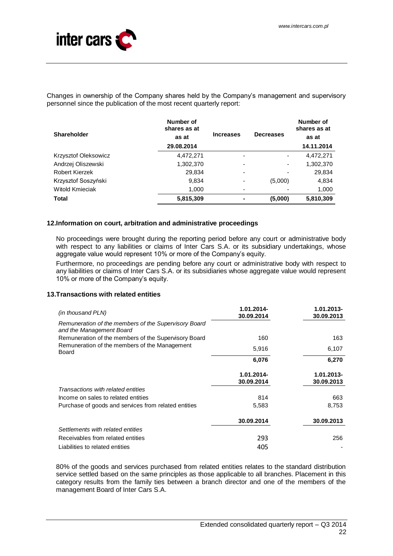

Changes in ownership of the Company shares held by the Company's management and supervisory personnel since the publication of the most recent quarterly report:

| <b>Shareholder</b>   | Number of<br>shares as at<br>as at<br>29.08.2014 | <b>Increases</b>         | <b>Decreases</b> | Number of<br>shares as at<br>as at<br>14.11.2014 |
|----------------------|--------------------------------------------------|--------------------------|------------------|--------------------------------------------------|
| Krzysztof Oleksowicz | 4,472,271                                        | $\overline{\phantom{0}}$ | ٠                | 4,472,271                                        |
| Andrzej Oliszewski   | 1,302,370                                        | $\overline{a}$           | ۰                | 1,302,370                                        |
| Robert Kierzek       | 29,834                                           | $\overline{a}$           | ۰                | 29,834                                           |
| Krzysztof Soszyński  | 9,834                                            | $\overline{a}$           | (5,000)          | 4,834                                            |
| Witold Kmieciak      | 1,000                                            |                          |                  | 1,000                                            |
| <b>Total</b>         | 5,815,309                                        |                          | (5,000)          | 5,810,309                                        |

### <span id="page-21-0"></span>**12.Information on court, arbitration and administrative proceedings**

No proceedings were brought during the reporting period before any court or administrative body with respect to any liabilities or claims of Inter Cars S.A. or its subsidiary undertakings, whose aggregate value would represent 10% or more of the Company's equity.

Furthermore, no proceedings are pending before any court or administrative body with respect to any liabilities or claims of Inter Cars S.A. or its subsidiaries whose aggregate value would represent 10% or more of the Company's equity.

## <span id="page-21-1"></span>**13.Transactions with related entities**

| (in thousand PLN)                                                                | 1.01.2014-<br>30.09.2014 | 1.01.2013-<br>30.09.2013 |
|----------------------------------------------------------------------------------|--------------------------|--------------------------|
| Remuneration of the members of the Supervisory Board<br>and the Management Board |                          |                          |
| Remuneration of the members of the Supervisory Board                             | 160                      | 163                      |
| Remuneration of the members of the Management<br>Board                           | 5,916                    | 6,107                    |
|                                                                                  | 6,076                    | 6,270                    |
|                                                                                  | 1.01.2014-<br>30.09.2014 | 1.01.2013-<br>30.09.2013 |
| Transactions with related entities                                               |                          |                          |
| Income on sales to related entities                                              | 814                      | 663                      |
| Purchase of goods and services from related entities                             | 5,583                    | 8,753                    |
|                                                                                  | 30.09.2014               | 30.09.2013               |
| Settlements with related entities                                                |                          |                          |
| Receivables from related entities                                                | 293                      | 256                      |
| Liabilities to related entities                                                  | 405                      |                          |

80% of the goods and services purchased from related entities relates to the standard distribution service settled based on the same principles as those applicable to all branches. Placement in this category results from the family ties between a branch director and one of the members of the management Board of Inter Cars S.A.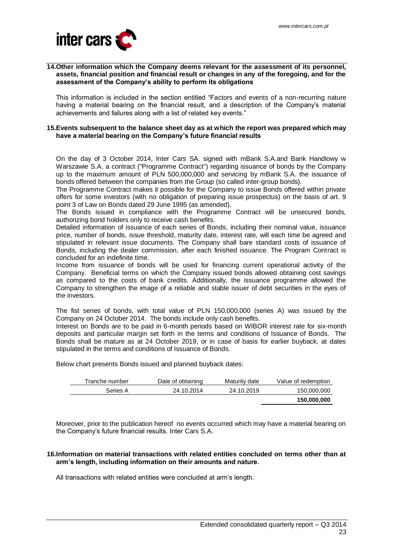

## <span id="page-22-0"></span>**14.Other information which the Company deems relevant for the assessment of its personnel, assets, financial position and financial result or changes in any of the foregoing, and for the assessment of the Company's ability to perform its obligations**

This information is included in the section entitled "Factors and events of a non-recurring nature having a material bearing on the financial result, and a description of the Company's material achievements and failures along with a list of related key events."

### <span id="page-22-1"></span>**15.Events subsequent to the balance sheet day as at which the report was prepared which may have a material bearing on the Company's future financial results**

On the day of 3 October 2014, Inter Cars SA. signed with mBank S.A.and Bank Handlowy w Warszawie S.A. a contract ("Programme Contract") regarding issuance of bonds by the Company up to the maximum amount of PLN 500,000,000 and servicing by mBank S.A. the issuance of bonds offered between the companies from the Group (so called inter-group bonds).

The Programme Contract makes it possible for the Company to issue Bonds offered within private offers for some investors (with no obligation of preparing issue prospectus) on the basis of art. 9 point 3 of Law on Bonds dated 29 June 1995 (as amended).

The Bonds issued in compliance with the Programme Contract will be unsecured bonds, authorizing bond holders only to receive cash benefits.

Detailed information of issuance of each series of Bonds, including their nominal value, issuance price, number of bonds, issue threshold, maturity date, interest rate, will each time be agreed and stipulated in relevant issue documents. The Company shall bare standard costs of issuance of Bonds, including the dealer commission, after each finished issuance. The Program Contract is concluded for an indefinite time.

Income from issuance of bonds will be used for financing current operational activity of the Company. Beneficial terms on which the Company issued bonds allowed obtaining cost savings as compared to the costs of bank credits. Additionally, the issuance programme allowed the Company to strengthen the image of a reliable and stable issuer of debt securities in the eyes of the investors.

The fist series of bonds, with total value of PLN 150,000,000 (series A) was issued by the Company on 24 October 2014. The bonds include only cash benefits.

Interest on Bonds are to be paid in 6-month periods based on WIBOR interest rate for six-month deposits and particular margin set forth in the terms and conditions of Issuance of Bonds. The Bonds shall be mature as at 24 October 2019, or in case of basis for earlier buyback, at dates stipulated in the terms and conditions of Issuance of Bonds.

Below chart presents Bonds issued and planned buyback dates:

| Tranche number | Date of obtaining | Maturity date | Value of redemption |
|----------------|-------------------|---------------|---------------------|
| Series A       | 24.10.2014        | 24.10.2019    | 150,000,000         |
|                |                   |               | 150,000,000         |

Moreover, prior to the publication hereof no events occurred which may have a material bearing on the Company's future financial results. Inter Cars S.A.

## <span id="page-22-2"></span>**16.Information on material transactions with related entities concluded on terms other than at arm's length, including information on their amounts and nature.**

All transactions with related entities were concluded at arm's length.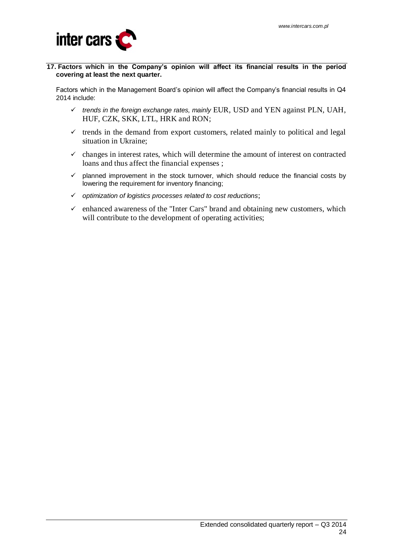

## <span id="page-23-0"></span>**17. Factors which in the Company's opinion will affect its financial results in the period covering at least the next quarter.**

Factors which in the Management Board's opinion will affect the Company's financial results in Q4 2014 include:

- *trends in the foreign exchange rates, mainly* EUR, USD and YEN against PLN, UAH, HUF, CZK, SKK, LTL, HRK and RON;
- $\checkmark$  trends in the demand from export customers, related mainly to political and legal situation in Ukraine;
- $\checkmark$  changes in interest rates, which will determine the amount of interest on contracted loans and thus affect the financial expenses ;
- $\checkmark$  planned improvement in the stock turnover, which should reduce the financial costs by lowering the requirement for inventory financing;
- *optimization of logistics processes related to cost reductions*;
- $\checkmark$  enhanced awareness of the "Inter Cars" brand and obtaining new customers, which will contribute to the development of operating activities;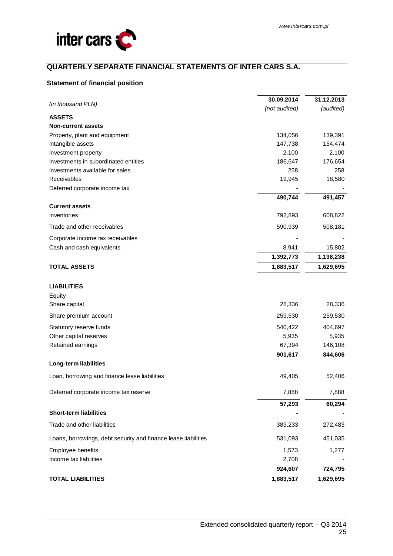

# <span id="page-24-0"></span>**QUARTERLY SEPARATE FINANCIAL STATEMENTS OF INTER CARS S.A.**

## <span id="page-24-1"></span>**Statement of financial position**

| (in thousand PLN)                                              | 30.09.2014    | 31.12.2013 |
|----------------------------------------------------------------|---------------|------------|
|                                                                | (not audited) | (audited)  |
| <b>ASSETS</b>                                                  |               |            |
| <b>Non-current assets</b>                                      |               |            |
| Property, plant and equipment                                  | 134,056       | 139,391    |
| Intangible assets                                              | 147,738       | 154,474    |
| Investment property                                            | 2,100         | 2,100      |
| Investments in subordinated entities                           | 186,647       | 176,654    |
| Investments available for sales                                | 258           | 258        |
| Receivables                                                    | 19,945        | 18,580     |
| Deferred corporate income tax                                  |               |            |
| <b>Current assets</b>                                          | 490,744       | 491,457    |
| Inventories                                                    | 792,893       | 608,822    |
| Trade and other receivables                                    | 590,939       | 508,181    |
| Corporate income tax receivables                               |               |            |
| Cash and cash equivalents                                      | 8,941         | 15,802     |
|                                                                | 1,392,773     | 1,138,238  |
| <b>TOTAL ASSETS</b>                                            | 1,883,517     | 1,629,695  |
| <b>LIABILITIES</b>                                             |               |            |
| Equity                                                         |               |            |
| Share capital                                                  | 28,336        | 28,336     |
| Share premium account                                          | 259,530       | 259,530    |
| Statutory reserve funds                                        | 540,422       | 404,697    |
| Other capital reserves                                         | 5,935         | 5,935      |
| Retained earnings                                              | 67,394        | 146,108    |
|                                                                | 901,617       | 844,606    |
| Long-term liabilities                                          |               |            |
| Loan, borrowing and finance lease liabilities                  | 49,405        | 52,406     |
| Deferred corporate income tax reserve                          | 7,888         | 7,888      |
|                                                                | 57,293        | 60,294     |
| <b>Short-term liabilities</b>                                  |               |            |
| Trade and other liabilities                                    | 389,233       | 272,483    |
| Loans, borrowings, debt security and finance lease liabilities | 531,093       | 451,035    |
| Employee benefits                                              | 1,573         | 1,277      |
| Income tax liabilities                                         | 2,708         |            |
|                                                                | 924,607       | 724,795    |
| <b>TOTAL LIABILITIES</b>                                       | 1,883,517     | 1,629,695  |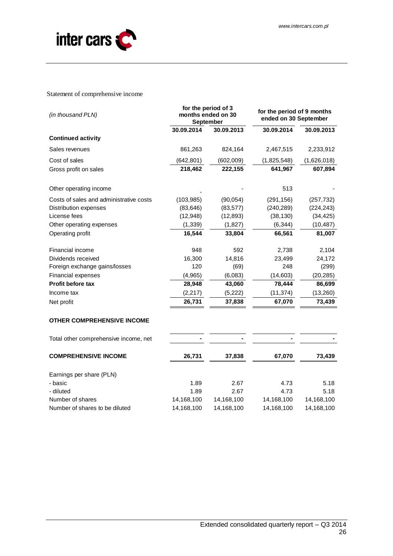

## Statement of comprehensive income

| (in thousand PLN)                       | for the period of 3<br>months ended on 30<br>September |            | for the period of 9 months<br>ended on 30 September |             |  |
|-----------------------------------------|--------------------------------------------------------|------------|-----------------------------------------------------|-------------|--|
|                                         | 30.09.2014                                             | 30.09.2013 | 30.09.2014                                          | 30.09.2013  |  |
| <b>Continued activity</b>               |                                                        |            |                                                     |             |  |
| Sales revenues                          | 861,263                                                | 824,164    | 2,467,515                                           | 2,233,912   |  |
| Cost of sales                           | (642, 801)                                             | (602,009)  | (1,825,548)                                         | (1,626,018) |  |
| Gross profit on sales                   | 218,462                                                | 222,155    | 641,967                                             | 607,894     |  |
| Other operating income                  |                                                        |            | 513                                                 |             |  |
| Costs of sales and administrative costs | (103, 985)                                             | (90, 054)  | (291, 156)                                          | (257, 732)  |  |
| Distribution expenses                   | (83, 646)                                              | (83, 577)  | (240, 289)                                          | (224, 243)  |  |
| License fees                            | (12, 948)                                              | (12, 893)  | (38, 130)                                           | (34, 425)   |  |
| Other operating expenses                | (1, 339)                                               | (1,827)    | (6, 344)                                            | (10, 487)   |  |
| Operating profit                        | 16,544                                                 | 33,804     | 66,561                                              | 81,007      |  |
| Financial income                        | 948                                                    | 592        | 2,738                                               | 2,104       |  |
| Dividends received                      | 16,300                                                 | 14,816     | 23,499                                              | 24,172      |  |
| Foreign exchange gains/losses           | 120                                                    | (69)       | 248                                                 | (299)       |  |
| Financial expenses                      | (4,965)                                                | (6,083)    | (14, 603)                                           | (20, 285)   |  |
| <b>Profit before tax</b>                | 28,948                                                 | 43,060     | 78,444                                              | 86,699      |  |
| Income tax                              | (2, 217)                                               | (5,222)    | (11, 374)                                           | (13,260)    |  |
| Net profit                              | 26,731                                                 | 37,838     | 67,070                                              | 73,439      |  |
| OTHER COMPREHENSIVE INCOME              |                                                        |            |                                                     |             |  |
| Total other comprehensive income, net   |                                                        |            |                                                     |             |  |
| <b>COMPREHENSIVE INCOME</b>             | 26,731                                                 | 37,838     | 67,070                                              | 73,439      |  |
| Earnings per share (PLN)                |                                                        |            |                                                     |             |  |
| - basic                                 | 1.89                                                   | 2.67       | 4.73                                                | 5.18        |  |
| - diluted                               | 1.89                                                   | 2.67       | 4.73                                                | 5.18        |  |
| Number of shares                        | 14,168,100                                             | 14,168,100 | 14,168,100                                          | 14,168,100  |  |
| Number of shares to be diluted          | 14,168,100                                             | 14,168,100 | 14,168,100                                          | 14,168,100  |  |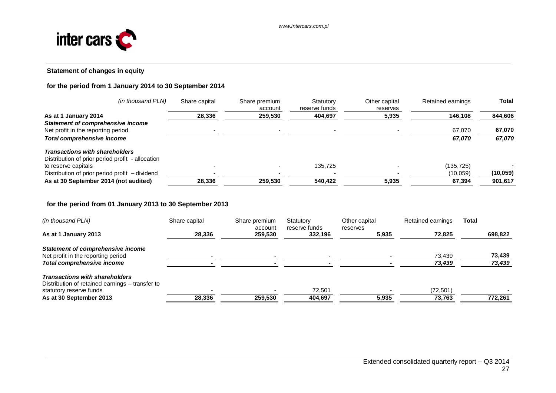

# **Statement of changes in equity**

## **for the period from 1 January 2014 to 30 September 2014**

| (in thousand PLN)                                                                         | Share capital | Share premium<br>account | Statutory<br>reserve funds | Other capital<br>reserves | Retained earnings | <b>Total</b> |
|-------------------------------------------------------------------------------------------|---------------|--------------------------|----------------------------|---------------------------|-------------------|--------------|
| As at 1 January 2014                                                                      | 28,336        | 259,530                  | 404,697                    | 5,935                     | 146,108           | 844,606      |
| <b>Statement of comprehensive income</b><br>Net profit in the reporting period            |               |                          |                            |                           | 67.070            | 67,070       |
| Total comprehensive income                                                                |               |                          |                            |                           | 67,070            | 67,070       |
| <b>Transactions with shareholders</b><br>Distribution of prior period profit - allocation |               |                          |                            |                           |                   |              |
| to reserve capitals                                                                       |               |                          | 135.725                    |                           | (135,725)         |              |
| Distribution of prior period profit - dividend                                            |               |                          |                            |                           | (10,059)          | (10, 059)    |
| As at 30 September 2014 (not audited)                                                     | 28.336        | 259.530                  | 540.422                    | 5,935                     | 67.394            | 901,617      |

## **for the period from 01 January 2013 to 30 September 2013**

<span id="page-26-0"></span>

| (in thousand PLN)                               | Share capital | Share premium<br>account | Statutory<br>reserve funds | Other capital<br>reserves | Retained earnings | Total   |
|-------------------------------------------------|---------------|--------------------------|----------------------------|---------------------------|-------------------|---------|
| As at 1 January 2013                            | 28,336        | 259,530                  | 332,196                    | 5,935                     | 72,825            | 698,822 |
| Statement of comprehensive income               |               |                          |                            |                           |                   |         |
| Net profit in the reporting period              |               |                          |                            |                           | 73.439            | 73,439  |
| Total comprehensive income                      |               |                          |                            |                           | 73,439            | 73,439  |
| <b>Transactions with shareholders</b>           |               |                          |                            |                           |                   |         |
| Distribution of retained earnings – transfer to |               |                          |                            |                           |                   |         |
| statutory reserve funds                         |               |                          | 72,501                     |                           | (72, 501)         |         |
| As at 30 September 2013                         | 28,336        | 259.530                  | 404,697                    | 5,935                     | 73.763            | 772.261 |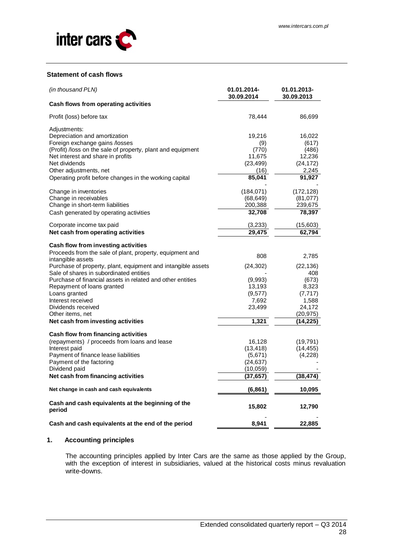

### <span id="page-27-0"></span>**Statement of cash flows**

| (in thousand PLN)                                                                                | 01.01.2014-<br>30.09.2014 | 01.01.2013-<br>30.09.2013 |
|--------------------------------------------------------------------------------------------------|---------------------------|---------------------------|
| Cash flows from operating activities                                                             |                           |                           |
| Profit (loss) before tax                                                                         | 78,444                    | 86,699                    |
| Adjustments:                                                                                     |                           |                           |
| Depreciation and amortization                                                                    | 19,216                    | 16,022                    |
| Foreign exchange gains /losses                                                                   | (9)                       | (617)                     |
| (Profit) /loss on the sale of property, plant and equipment<br>Net interest and share in profits | (770)<br>11,675           | (486)<br>12,236           |
| Net dividends                                                                                    | (23, 499)                 | (24, 172)                 |
| Other adjustments, net                                                                           | (16)                      | 2,245                     |
| Operating profit before changes in the working capital                                           | 85,041                    | 91,927                    |
| Change in inventories                                                                            | (184, 071)                | (172, 128)                |
| Change in receivables                                                                            | (68, 649)                 | (81,077)                  |
| Change in short-term liabilities                                                                 | 200,388                   | 239,675                   |
| Cash generated by operating activities                                                           | 32,708                    | 78,397                    |
| Corporate income tax paid                                                                        | (3,233)                   | (15,603)                  |
| Net cash from operating activities                                                               | 29,475                    | 62,794                    |
| Cash flow from investing activities                                                              |                           |                           |
| Proceeds from the sale of plant, property, equipment and                                         | 808                       |                           |
| intangible assets                                                                                |                           | 2,785                     |
| Purchase of property, plant, equipment and intangible assets                                     | (24, 302)                 | (22, 136)                 |
| Sale of shares in subordinated entities                                                          |                           | 408                       |
| Purchase of financial assets in related and other entities                                       | (9,993)                   | (673)                     |
| Repayment of loans granted                                                                       | 13,193                    | 8,323                     |
| Loans granted<br>Interest received                                                               | (9,577)                   | (7, 717)                  |
| Dividends received                                                                               | 7,692                     | 1,588<br>24,172           |
| Other items, net                                                                                 | 23,499                    | (20, 975)                 |
| Net cash from investing activities                                                               | 1,321                     | (14, 225)                 |
|                                                                                                  |                           |                           |
| Cash flow from financing activities                                                              |                           |                           |
| (repayments) / proceeds from loans and lease                                                     | 16,128                    | (19,791)                  |
| Interest paid<br>Payment of finance lease liabilities                                            | (13, 418)<br>(5,671)      | (14, 455)<br>(4,228)      |
| Payment of the factoring                                                                         | (24, 637)                 |                           |
| Dividend paid                                                                                    | (10,059)                  |                           |
| Net cash from financing activities                                                               | (37, 657)                 | (38,474)                  |
| Net change in cash and cash equivalents                                                          | (6, 861)                  | 10,095                    |
| Cash and cash equivalents at the beginning of the<br>period                                      | 15,802                    | 12,790                    |
| Cash and cash equivalents at the end of the period                                               | 8,941                     | 22,885                    |

## <span id="page-27-1"></span>**1. Accounting principles**

The accounting principles applied by Inter Cars are the same as those applied by the Group, with the exception of interest in subsidiaries, valued at the historical costs minus revaluation write-downs.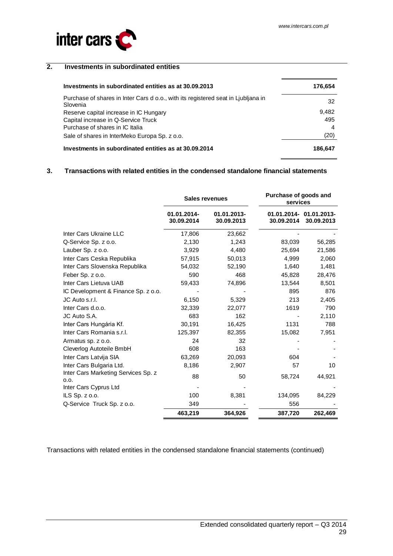

## <span id="page-28-0"></span>**2. Investments in subordinated entities**

| Investments in subordinated entities as at 30.09.2013                                         | 176,654 |
|-----------------------------------------------------------------------------------------------|---------|
| Purchase of shares in Inter Cars d o.o., with its registered seat in Ljubljana in<br>Slovenia | 32      |
| Reserve capital increase in IC Hungary                                                        | 9.482   |
| Capital increase in Q-Service Truck                                                           | 495     |
| Purchase of shares in IC Italia                                                               | 4       |
| Sale of shares in InterMeko Europa Sp. z o.o.                                                 | (20)    |
| Investments in subordinated entities as at 30.09.2014                                         | 186.647 |

## <span id="page-28-1"></span>**3. Transactions with related entities in the condensed standalone financial statements**

|                                             | <b>Sales revenues</b>     |                           | Purchase of goods and<br>services |                                       |  |
|---------------------------------------------|---------------------------|---------------------------|-----------------------------------|---------------------------------------|--|
|                                             | 01.01.2014-<br>30.09.2014 | 01.01.2013-<br>30.09.2013 | 30.09.2014                        | 01.01.2014- 01.01.2013-<br>30.09.2013 |  |
| Inter Cars Ukraine LLC                      | 17,806                    | 23,662                    |                                   |                                       |  |
| Q-Service Sp. z o.o.                        | 2,130                     | 1,243                     | 83,039                            | 56,285                                |  |
| Lauber Sp. z o.o.                           | 3,929                     | 4,480                     | 25,694                            | 21,586                                |  |
| Inter Cars Ceska Republika                  | 57,915                    | 50,013                    | 4,999                             | 2,060                                 |  |
| Inter Cars Slovenska Republika              | 54,032                    | 52,190                    | 1,640                             | 1,481                                 |  |
| Feber Sp. z o.o.                            | 590                       | 468                       | 45,828                            | 28,476                                |  |
| Inter Cars Lietuva UAB                      | 59,433                    | 74,896                    | 13,544                            | 8,501                                 |  |
| IC Development & Finance Sp. z o.o.         |                           |                           | 895                               | 876                                   |  |
| JC Auto s.r.l.                              | 6,150                     | 5,329                     | 213                               | 2,405                                 |  |
| Inter Cars d.o.o.                           | 32,339                    | 22,077                    | 1619                              | 790                                   |  |
| JC Auto S.A.                                | 683                       | 162                       |                                   | 2,110                                 |  |
| Inter Cars Hungária Kf.                     | 30,191                    | 16,425                    | 1131                              | 788                                   |  |
| Inter Cars Romania s.r.l.                   | 125,397                   | 82,355                    | 15,082                            | 7,951                                 |  |
| Armatus sp. z o.o.                          | 24                        | 32                        |                                   |                                       |  |
| Cleverlog Autoteile BmbH                    | 608                       | 163                       |                                   |                                       |  |
| Inter Cars Latvija SIA                      | 63,269                    | 20,093                    | 604                               |                                       |  |
| Inter Cars Bulgaria Ltd.                    | 8,186                     | 2,907                     | 57                                | 10                                    |  |
| Inter Cars Marketing Services Sp. z<br>0.0. | 88                        | 50                        | 58,724                            | 44,921                                |  |
| Inter Cars Cyprus Ltd                       |                           |                           |                                   |                                       |  |
| ILS Sp. z o.o.                              | 100                       | 8,381                     | 134,095                           | 84,229                                |  |
| Q-Service Truck Sp. z o.o.                  | 349                       |                           | 556                               |                                       |  |
|                                             | 463,219                   | 364,926                   | 387,720                           | 262,469                               |  |

Transactions with related entities in the condensed standalone financial statements (continued)